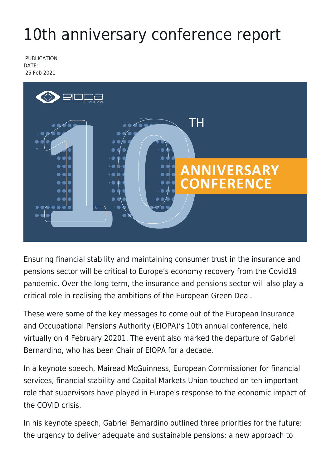## 10th anniversary conference report

PUBLICATION DATE: 25 Feb 2021



Ensuring financial stability and maintaining consumer trust in the insurance and pensions sector will be critical to Europe's economy recovery from the Covid19 pandemic. Over the long term, the insurance and pensions sector will also play a critical role in realising the ambitions of the European Green Deal.

These were some of the key messages to come out of the European Insurance and Occupational Pensions Authority (EIOPA)'s 10th annual conference, held virtually on 4 February 20201. The event also marked the departure of Gabriel Bernardino, who has been Chair of EIOPA for a decade.

In a keynote speech, Mairead McGuinness, European Commissioner for financial services, financial stability and Capital Markets Union touched on teh important role that supervisors have played in Europe's response to the economic impact of the COVID crisis.

In his keynote speech, Gabriel Bernardino outlined three priorities for the future: the urgency to deliver adequate and sustainable pensions; a new approach to